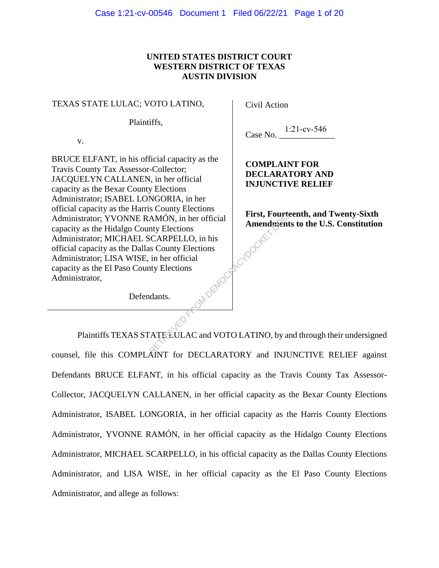# **UNITED STATES DISTRICT COURT WESTERN DISTRICT OF TEXAS AUSTIN DIVISION**

#### TEXAS STATE LULAC; VOTO LATINO,

Plaintiffs,

v.

BRUCE ELFANT, in his official capacity as the Travis County Tax Assessor-Collector; JACQUELYN CALLANEN, in her official capacity as the Bexar County Elections Administrator; ISABEL LONGORIA, in her official capacity as the Harris County Elections Administrator; YVONNE RAMÓN, in her official capacity as the Hidalgo County Elections Administrator; MICHAEL SCARPELLO, in his official capacity as the Dallas County Elections Administrator; LISA WISE, in her official<br>capacity as the El Paso County Elections<br>Administrator, capacity as the El Paso County Elections Administrator,

Civil Action

Case No. 1:21-cv-546

**COMPLAINT FOR DECLARATORY AND INJUNCTIVE RELIEF**

**First, Fourteenth, and Twenty-Sixth Amendments to the U.S. Constitution** ReynolderE

Defendants.

Plaintiffs TEXAS STATE LULAC and VOTO LATINO, by and through their undersigned counsel, file this COMPLAINT for DECLARATORY and INJUNCTIVE RELIEF against Defendants BRUCE ELFANT, in his official capacity as the Travis County Tax Assessor-Collector, JACQUELYN CALLANEN, in her official capacity as the Bexar County Elections Administrator, ISABEL LONGORIA, in her official capacity as the Harris County Elections Administrator, YVONNE RAMÓN, in her official capacity as the Hidalgo County Elections Administrator, MICHAEL SCARPELLO, in his official capacity as the Dallas County Elections Administrator, and LISA WISE, in her official capacity as the El Paso County Elections Administrator, and allege as follows: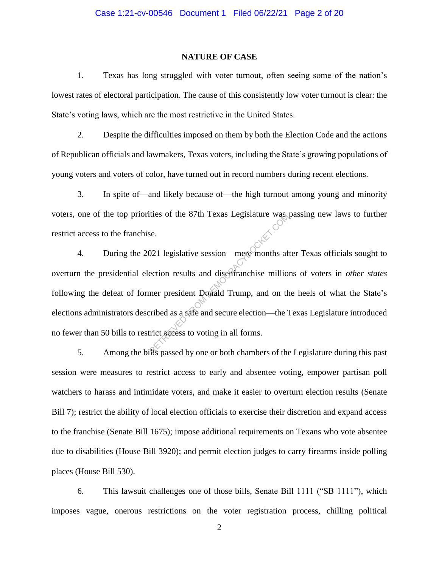### **NATURE OF CASE**

1. Texas has long struggled with voter turnout, often seeing some of the nation's lowest rates of electoral participation. The cause of this consistently low voter turnout is clear: the State's voting laws, which are the most restrictive in the United States.

2. Despite the difficulties imposed on them by both the Election Code and the actions of Republican officials and lawmakers, Texas voters, including the State's growing populations of young voters and voters of color, have turned out in record numbers during recent elections.

3. In spite of—and likely because of—the high turnout among young and minority voters, one of the top priorities of the 87th Texas Legislature was passing new laws to further restrict access to the franchise.

4. During the 2021 legislative session—mere months after Texas officials sought to overturn the presidential election results and disenfranchise millions of voters in *other states*  following the defeat of former president Donald Trump, and on the heels of what the State's elections administrators described as a safe and secure election—the Texas Legislature introduced no fewer than 50 bills to restrict access to voting in all forms. Retaining the S7th Texas Legislature was<br>se.<br>221 legislative session—mere months affection results and disentranchise millioner president Donald Trump, and on the<br>comment of the comment of the same section with the same of

5. Among the bills passed by one or both chambers of the Legislature during this past session were measures to restrict access to early and absentee voting, empower partisan poll watchers to harass and intimidate voters, and make it easier to overturn election results (Senate Bill 7); restrict the ability of local election officials to exercise their discretion and expand access to the franchise (Senate Bill 1675); impose additional requirements on Texans who vote absentee due to disabilities (House Bill 3920); and permit election judges to carry firearms inside polling places (House Bill 530).

6. This lawsuit challenges one of those bills, Senate Bill 1111 ("SB 1111"), which imposes vague, onerous restrictions on the voter registration process, chilling political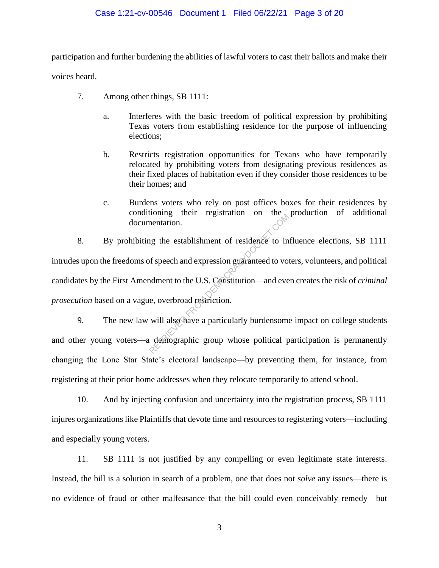## Case 1:21-cv-00546 Document 1 Filed 06/22/21 Page 3 of 20

participation and further burdening the abilities of lawful voters to cast their ballots and make their voices heard.

- 7. Among other things, SB 1111:
	- a. Interferes with the basic freedom of political expression by prohibiting Texas voters from establishing residence for the purpose of influencing elections;
	- b. Restricts registration opportunities for Texans who have temporarily relocated by prohibiting voters from designating previous residences as their fixed places of habitation even if they consider those residences to be their homes; and
	- c. Burdens voters who rely on post offices boxes for their residences by conditioning their registration on the production of additional documentation.

8. By prohibiting the establishment of residence to influence elections, SB 1111 intrudes upon the freedoms of speech and expression guaranteed to voters, volunteers, and political candidates by the First Amendment to the U.S. Constitution—and even creates the risk of *criminal prosecution* based on a vague, overbroad restriction. From the establishment of residence to in<br>the establishment of residence to in<br>the speech and expression guaranteed to vo<br>ndment to the U.S. Constitution—and eve<br>e, overbroad restriction.<br>will also have a particularly burd

9. The new law will also have a particularly burdensome impact on college students and other young voters—a demographic group whose political participation is permanently changing the Lone Star State's electoral landscape—by preventing them, for instance, from registering at their prior home addresses when they relocate temporarily to attend school.

10. And by injecting confusion and uncertainty into the registration process, SB 1111 injures organizations like Plaintiffs that devote time and resources to registering voters—including and especially young voters.

11. SB 1111 is not justified by any compelling or even legitimate state interests. Instead, the bill is a solution in search of a problem, one that does not *solve* any issues—there is no evidence of fraud or other malfeasance that the bill could even conceivably remedy—but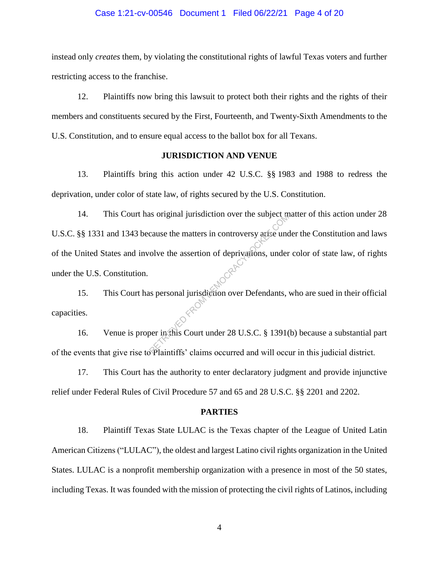#### Case 1:21-cv-00546 Document 1 Filed 06/22/21 Page 4 of 20

instead only *creates* them, by violating the constitutional rights of lawful Texas voters and further restricting access to the franchise.

12. Plaintiffs now bring this lawsuit to protect both their rights and the rights of their members and constituents secured by the First, Fourteenth, and Twenty-Sixth Amendments to the U.S. Constitution, and to ensure equal access to the ballot box for all Texans.

## **JURISDICTION AND VENUE**

13. Plaintiffs bring this action under 42 U.S.C. §§ 1983 and 1988 to redress the deprivation, under color of state law, of rights secured by the U.S. Constitution.

14. This Court has original jurisdiction over the subject matter of this action under 28 U.S.C. §§ 1331 and 1343 because the matters in controversy arise under the Constitution and laws of the United States and involve the assertion of deprivations, under color of state law, of rights under the U.S. Constitution. Example of the matters in controversy artise und<br>cluster the assertion of deprivations, under<br>the assertion of deprivations, under<br>the personal jurisdiction over Defendants,

15. This Court has personal jurisdiction over Defendants, who are sued in their official capacities.

16. Venue is proper in this Court under 28 U.S.C. § 1391(b) because a substantial part of the events that give rise to Plaintiffs' claims occurred and will occur in this judicial district.

17. This Court has the authority to enter declaratory judgment and provide injunctive relief under Federal Rules of Civil Procedure 57 and 65 and 28 U.S.C. §§ 2201 and 2202.

## **PARTIES**

18. Plaintiff Texas State LULAC is the Texas chapter of the League of United Latin American Citizens ("LULAC"), the oldest and largest Latino civil rights organization in the United States. LULAC is a nonprofit membership organization with a presence in most of the 50 states, including Texas. It was founded with the mission of protecting the civil rights of Latinos, including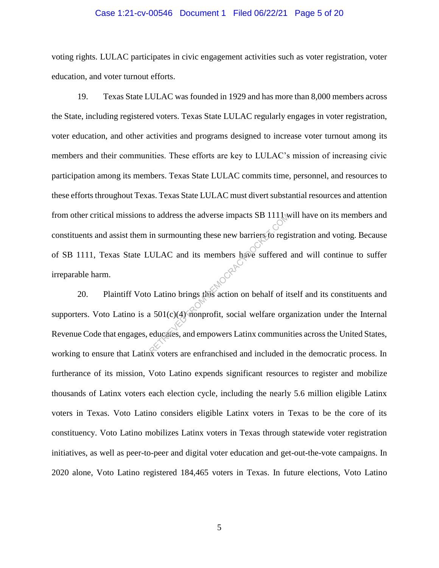## Case 1:21-cv-00546 Document 1 Filed 06/22/21 Page 5 of 20

voting rights. LULAC participates in civic engagement activities such as voter registration, voter education, and voter turnout efforts.

19. Texas State LULAC was founded in 1929 and has more than 8,000 members across the State, including registered voters. Texas State LULAC regularly engages in voter registration, voter education, and other activities and programs designed to increase voter turnout among its members and their communities. These efforts are key to LULAC's mission of increasing civic participation among its members. Texas State LULAC commits time, personnel, and resources to these efforts throughout Texas. Texas State LULAC must divert substantial resources and attention from other critical missions to address the adverse impacts SB 1111 will have on its members and constituents and assist them in surmounting these new barriers to registration and voting. Because of SB 1111, Texas State LULAC and its members have suffered and will continue to suffer irreparable harm. to address the adverse impacts SB 111 (with the sum ounting these new barriers to regional ULAC and its members have suffered such that the sum of the section of the section of the section of the section of the section of

20. Plaintiff Voto Latino brings this action on behalf of itself and its constituents and supporters. Voto Latino is a  $501(c)(4)$  nonprofit, social welfare organization under the Internal Revenue Code that engages, educates, and empowers Latinx communities across the United States, working to ensure that Latinx voters are enfranchised and included in the democratic process. In furtherance of its mission, Voto Latino expends significant resources to register and mobilize thousands of Latinx voters each election cycle, including the nearly 5.6 million eligible Latinx voters in Texas. Voto Latino considers eligible Latinx voters in Texas to be the core of its constituency. Voto Latino mobilizes Latinx voters in Texas through statewide voter registration initiatives, as well as peer-to-peer and digital voter education and get-out-the-vote campaigns. In 2020 alone, Voto Latino registered 184,465 voters in Texas. In future elections, Voto Latino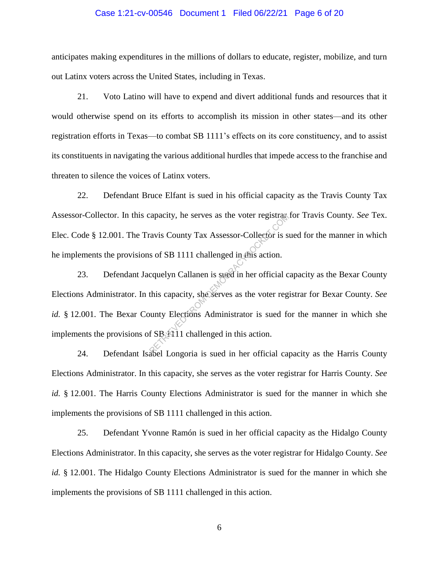## Case 1:21-cv-00546 Document 1 Filed 06/22/21 Page 6 of 20

anticipates making expenditures in the millions of dollars to educate, register, mobilize, and turn out Latinx voters across the United States, including in Texas.

21. Voto Latino will have to expend and divert additional funds and resources that it would otherwise spend on its efforts to accomplish its mission in other states—and its other registration efforts in Texas—to combat SB 1111's effects on its core constituency, and to assist its constituents in navigating the various additional hurdles that impede access to the franchise and threaten to silence the voices of Latinx voters.

22. Defendant Bruce Elfant is sued in his official capacity as the Travis County Tax Assessor-Collector. In this capacity, he serves as the voter registrar for Travis County. *See* Tex. Elec. Code § 12.001. The Travis County Tax Assessor-Collector is sued for the manner in which he implements the provisions of SB 1111 challenged in this action.

23. Defendant Jacquelyn Callanen is sued in her official capacity as the Bexar County Elections Administrator. In this capacity, she serves as the voter registrar for Bexar County. *See id.* § 12.001. The Bexar County Elections Administrator is sued for the manner in which she implements the provisions of  $SB_1$  11 challenged in this action. Example 11 and the voter registrates<br>
The value of SB 1111 challenged in this action.<br>
Causelyn Callanen is sued in her official computer computer of this capacity, she serves as the voter reg<br>
Nunty Elections Administrato

24. Defendant Isabel Longoria is sued in her official capacity as the Harris County Elections Administrator. In this capacity, she serves as the voter registrar for Harris County. *See id.* § 12.001. The Harris County Elections Administrator is sued for the manner in which she implements the provisions of SB 1111 challenged in this action.

25. Defendant Yvonne Ramón is sued in her official capacity as the Hidalgo County Elections Administrator. In this capacity, she serves as the voter registrar for Hidalgo County. *See id.* § 12.001. The Hidalgo County Elections Administrator is sued for the manner in which she implements the provisions of SB 1111 challenged in this action.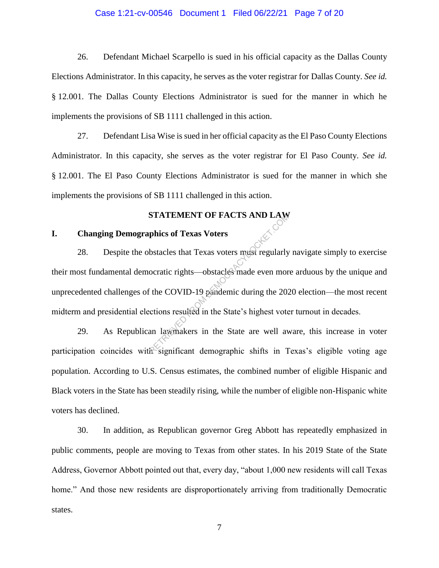## Case 1:21-cv-00546 Document 1 Filed 06/22/21 Page 7 of 20

26. Defendant Michael Scarpello is sued in his official capacity as the Dallas County Elections Administrator. In this capacity, he serves as the voter registrar for Dallas County. *See id.* § 12.001. The Dallas County Elections Administrator is sued for the manner in which he implements the provisions of SB 1111 challenged in this action.

27. Defendant Lisa Wise is sued in her official capacity as the El Paso County Elections Administrator. In this capacity, she serves as the voter registrar for El Paso County. *See id.* § 12.001. The El Paso County Elections Administrator is sued for the manner in which she implements the provisions of SB 1111 challenged in this action.

## **STATEMENT OF FACTS AND LAW**

## **I. Changing Demographics of Texas Voters**

28. Despite the obstacles that Texas voters must regularly navigate simply to exercise their most fundamental democratic rights—obstacles made even more arduous by the unique and unprecedented challenges of the COVID-19 pandemic during the 2020 election—the most recent midterm and presidential elections resulted in the State's highest voter turnout in decades. STATEMENT OF FACTS AND LAW<br>phics of Texas Voters<br>bstacles that Texas voters mast regularly<br>ocratic rights—obstacles made even mor<br>it the COVID-19 pandemic during the 202<br>cctions resulted in the State's highest vote<br>an law

29. As Republican lawmakers in the State are well aware, this increase in voter participation coincides with significant demographic shifts in Texas's eligible voting age population. According to U.S. Census estimates, the combined number of eligible Hispanic and Black voters in the State has been steadily rising, while the number of eligible non-Hispanic white voters has declined.

30. In addition, as Republican governor Greg Abbott has repeatedly emphasized in public comments, people are moving to Texas from other states. In his 2019 State of the State Address, Governor Abbott pointed out that, every day, "about 1,000 new residents will call Texas home." And those new residents are disproportionately arriving from traditionally Democratic states.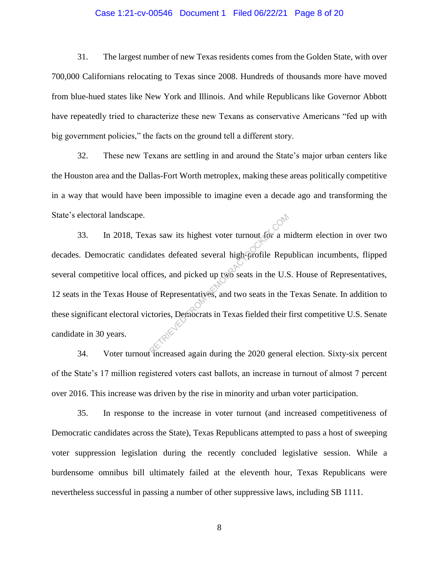## Case 1:21-cv-00546 Document 1 Filed 06/22/21 Page 8 of 20

31. The largest number of new Texas residents comes from the Golden State, with over 700,000 Californians relocating to Texas since 2008. Hundreds of thousands more have moved from blue-hued states like New York and Illinois. And while Republicans like Governor Abbott have repeatedly tried to characterize these new Texans as conservative Americans "fed up with big government policies," the facts on the ground tell a different story.

32. These new Texans are settling in and around the State's major urban centers like the Houston area and the Dallas-Fort Worth metroplex, making these areas politically competitive in a way that would have been impossible to imagine even a decade ago and transforming the State's electoral landscape.

33. In 2018, Texas saw its highest voter turnout for a midterm election in over two decades. Democratic candidates defeated several high-profile Republican incumbents, flipped several competitive local offices, and picked up two seats in the U.S. House of Representatives, 12 seats in the Texas House of Representatives, and two seats in the Texas Senate. In addition to these significant electoral victories, Democrats in Texas fielded their first competitive U.S. Senate candidate in 30 years. as saw its highest voter turnout for a m<br>dates defeated several high-profile Repr<br>fices, and picked up two seats in the U.S<br>of Representatives, and two seats in the<br>ctories, Democrats in Texas fielded their

34. Voter turnout increased again during the 2020 general election. Sixty-six percent of the State's 17 million registered voters cast ballots, an increase in turnout of almost 7 percent over 2016. This increase was driven by the rise in minority and urban voter participation.

35. In response to the increase in voter turnout (and increased competitiveness of Democratic candidates across the State), Texas Republicans attempted to pass a host of sweeping voter suppression legislation during the recently concluded legislative session. While a burdensome omnibus bill ultimately failed at the eleventh hour, Texas Republicans were nevertheless successful in passing a number of other suppressive laws, including SB 1111.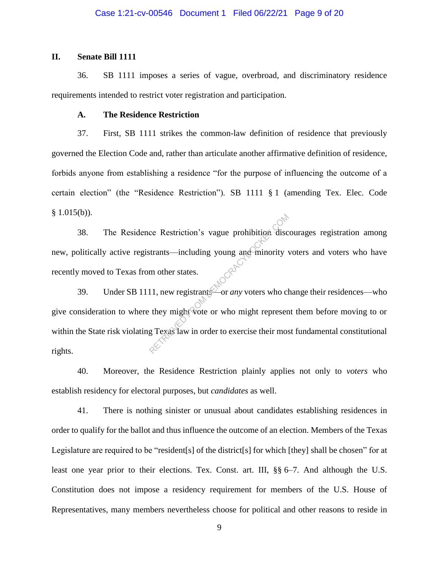# **II. Senate Bill 1111**

36. SB 1111 imposes a series of vague, overbroad, and discriminatory residence requirements intended to restrict voter registration and participation.

## **A. The Residence Restriction**

37. First, SB 1111 strikes the common-law definition of residence that previously governed the Election Code and, rather than articulate another affirmative definition of residence, forbids anyone from establishing a residence "for the purpose of influencing the outcome of a certain election" (the "Residence Restriction"). SB 1111 § 1 (amending Tex. Elec. Code  $§ 1.015(b)$ .

38. The Residence Restriction's vague prohibition discourages registration among new, politically active registrants—including young and minority voters and voters who have recently moved to Texas from other states.

39. Under SB 1111, new registrants—or *any* voters who change their residences—who give consideration to where they might vote or who might represent them before moving to or within the State risk violating Texas law in order to exercise their most fundamental constitutional rights. CONSIDER THE MANUSCRIPT OF THE MANUSCRIPT OF THE MANUSCRIPT OF THE MANUSCRIPT OF THE MANUSCRIPT OF THE MANUSCRIPT OF THE MANUSCRIPT OF THE MANUSCRIPT OF THE MANUSCRIPT OF THE MANUSCRIPT OF THE MANUSCRIPT OF THE MANUSCRIPT

40. Moreover, the Residence Restriction plainly applies not only to *voters* who establish residency for electoral purposes, but *candidates* as well.

41. There is nothing sinister or unusual about candidates establishing residences in order to qualify for the ballot and thus influence the outcome of an election. Members of the Texas Legislature are required to be "resident[s] of the district[s] for which [they] shall be chosen" for at least one year prior to their elections. Tex. Const. art. III, §§ 6–7. And although the U.S. Constitution does not impose a residency requirement for members of the U.S. House of Representatives, many members nevertheless choose for political and other reasons to reside in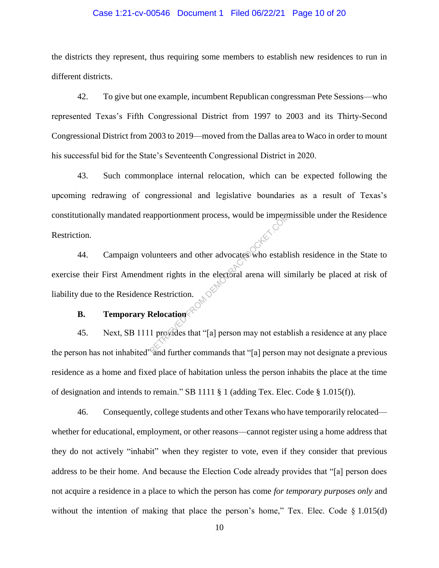## Case 1:21-cv-00546 Document 1 Filed 06/22/21 Page 10 of 20

the districts they represent, thus requiring some members to establish new residences to run in different districts.

42. To give but one example, incumbent Republican congressman Pete Sessions—who represented Texas's Fifth Congressional District from 1997 to 2003 and its Thirty-Second Congressional District from 2003 to 2019—moved from the Dallas area to Waco in order to mount his successful bid for the State's Seventeenth Congressional District in 2020.

43. Such commonplace internal relocation, which can be expected following the upcoming redrawing of congressional and legislative boundaries as a result of Texas's constitutionally mandated reapportionment process, would be impermissible under the Residence Restriction.

44. Campaign volunteers and other advocates who establish residence in the State to exercise their First Amendment rights in the electoral arena will similarly be placed at risk of liability due to the Residence Restriction. Exportionment process, would be impegned<br>
Uniteers and other advocates who estable<br>
ment rights in the electoral arena will si<br>
e Restriction.<br>
Relocation<br>
1 provides that "[a] person may not estable<br>
and further commands

# **B. Temporary Relocation**

45. Next, SB 1111 provides that "[a] person may not establish a residence at any place the person has not inhabited<sup>35</sup> and further commands that "[a] person may not designate a previous residence as a home and fixed place of habitation unless the person inhabits the place at the time of designation and intends to remain." SB 1111 § 1 (adding Tex. Elec. Code § 1.015(f)).

46. Consequently, college students and other Texans who have temporarily relocated whether for educational, employment, or other reasons—cannot register using a home address that they do not actively "inhabit" when they register to vote, even if they consider that previous address to be their home. And because the Election Code already provides that "[a] person does not acquire a residence in a place to which the person has come *for temporary purposes only* and without the intention of making that place the person's home," Tex. Elec. Code  $\S$  1.015(d)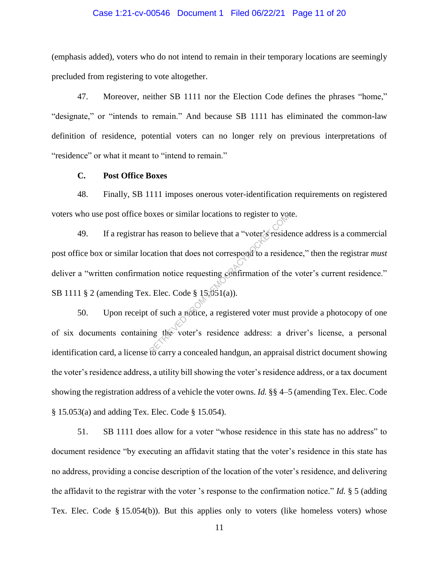## Case 1:21-cv-00546 Document 1 Filed 06/22/21 Page 11 of 20

(emphasis added), voters who do not intend to remain in their temporary locations are seemingly precluded from registering to vote altogether.

47. Moreover, neither SB 1111 nor the Election Code defines the phrases "home," "designate," or "intends to remain." And because SB 1111 has eliminated the common-law definition of residence, potential voters can no longer rely on previous interpretations of "residence" or what it meant to "intend to remain."

## **C. Post Office Boxes**

48. Finally, SB 1111 imposes onerous voter-identification requirements on registered voters who use post office boxes or similar locations to register to vote.

49. If a registrar has reason to believe that a "voter's residence address is a commercial post office box or similar location that does not correspond to a residence," then the registrar *must* deliver a "written confirmation notice requesting confirmation of the voter's current residence." SB 1111 § 2 (amending Tex. Elec. Code § 15.051(a)). oxes or similar locations to register to you<br>has reason to believe that a "voter's reside<br>cation that does not correspond to a reside<br>ion notice requesting confirmation of the<br>Elec. Code § 15,051(a)).<br>of such a notice, a r

50. Upon receipt of such a notice, a registered voter must provide a photocopy of one of six documents containing the voter's residence address: a driver's license, a personal identification card, a license to carry a concealed handgun, an appraisal district document showing the voter's residence address, a utility bill showing the voter's residence address, or a tax document showing the registration address of a vehicle the voter owns. *Id.* §§ 4–5 (amending Tex. Elec. Code § 15.053(a) and adding Tex. Elec. Code § 15.054).

51. SB 1111 does allow for a voter "whose residence in this state has no address" to document residence "by executing an affidavit stating that the voter's residence in this state has no address, providing a concise description of the location of the voter's residence, and delivering the affidavit to the registrar with the voter 's response to the confirmation notice." *Id.* § 5 (adding Tex. Elec. Code § 15.054(b)). But this applies only to voters (like homeless voters) whose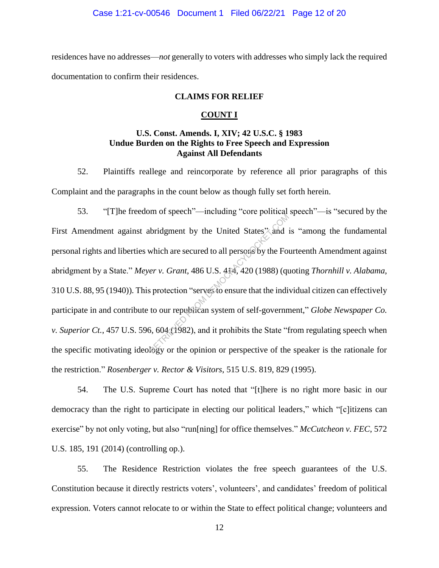#### Case 1:21-cv-00546 Document 1 Filed 06/22/21 Page 12 of 20

residences have no addresses—*not* generally to voters with addresses who simply lack the required documentation to confirm their residences.

## **CLAIMS FOR RELIEF**

#### **COUNT I**

# **U.S. Const. Amends. I, XIV; 42 U.S.C. § 1983 Undue Burden on the Rights to Free Speech and Expression Against All Defendants**

52. Plaintiffs reallege and reincorporate by reference all prior paragraphs of this Complaint and the paragraphs in the count below as though fully set forth herein.

53. "[T]he freedom of speech"—including "core political speech"—is "secured by the First Amendment against abridgment by the United States, and is "among the fundamental" personal rights and liberties which are secured to all persons by the Fourteenth Amendment against abridgment by a State." *Meyer v. Grant*, 486 U.S. 414, 420 (1988) (quoting *Thornhill v. Alabama*, 310 U.S. 88, 95 (1940)). This protection "serves to ensure that the individual citizen can effectively participate in and contribute to our republican system of self-government," *Globe Newspaper Co. v. Superior Ct.*, 457 U.S. 596, 604 (1982), and it prohibits the State "from regulating speech when the specific motivating ideology or the opinion or perspective of the speaker is the rationale for the restriction." *Rosenberger v. Rector & Visitors*, 515 U.S. 819, 829 (1995). The substitution of the United States" and interest which are secured to all persons by the Form of the Form of serves to ensure that the inditional protection "serves to ensure that the inditional to our republican system

54. The U.S. Supreme Court has noted that "[t]here is no right more basic in our democracy than the right to participate in electing our political leaders," which "[c]itizens can exercise" by not only voting, but also "run[ning] for office themselves." *McCutcheon v. FEC*, 572 U.S. 185, 191 (2014) (controlling op.).

55. The Residence Restriction violates the free speech guarantees of the U.S. Constitution because it directly restricts voters', volunteers', and candidates' freedom of political expression. Voters cannot relocate to or within the State to effect political change; volunteers and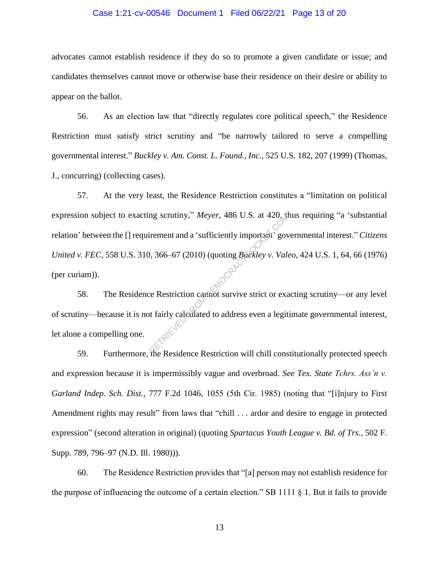## Case 1:21-cv-00546 Document 1 Filed 06/22/21 Page 13 of 20

advocates cannot establish residence if they do so to promote a given candidate or issue; and candidates themselves cannot move or otherwise base their residence on their desire or ability to appear on the ballot.

56. As an election law that "directly regulates core political speech," the Residence Restriction must satisfy strict scrutiny and "be narrowly tailored to serve a compelling governmental interest." *Buckley v. Am. Const. L. Found., Inc.*, 525 U.S. 182, 207 (1999) (Thomas, J., concurring) (collecting cases).

57. At the very least, the Residence Restriction constitutes a "limitation on political expression subject to exacting scrutiny," *Meyer*, 486 U.S. at 420, thus requiring "a 'substantial relation' between the [] requirement and a 'sufficiently important' governmental interest." *Citizens United v. FEC*, 558 U.S. 310, 366–67 (2010) (quoting *Buckley v. Valeo*, 424 U.S. 1, 64, 66 (1976) (per curiam)). mg scrutiny," Meyer, 486 U.S. at 420, the irement and a 'sufficiently important' government and a 'sufficiently important' government and a 'sufficiently important' government survive strict or exact that the Restriction c

58. The Residence Restriction cannot survive strict or exacting scrutiny—or any level of scrutiny—because it is not fairly calculated to address even a legitimate governmental interest, let alone a compelling one.

59. Furthermore, the Residence Restriction will chill constitutionally protected speech and expression because it is impermissibly vague and overbroad. *See Tex. State Tchrs. Ass'n v. Garland Indep. Sch. Dist.*, 777 F.2d 1046, 1055 (5th Cir. 1985) (noting that "[i]njury to First Amendment rights may result" from laws that "chill . . . ardor and desire to engage in protected expression" (second alteration in original) (quoting *Spartacus Youth League v. Bd. of Trs.*, 502 F. Supp. 789, 796–97 (N.D. Ill. 1980))).

60. The Residence Restriction provides that "[a] person may not establish residence for the purpose of influencing the outcome of a certain election." SB 1111 § 1. But it fails to provide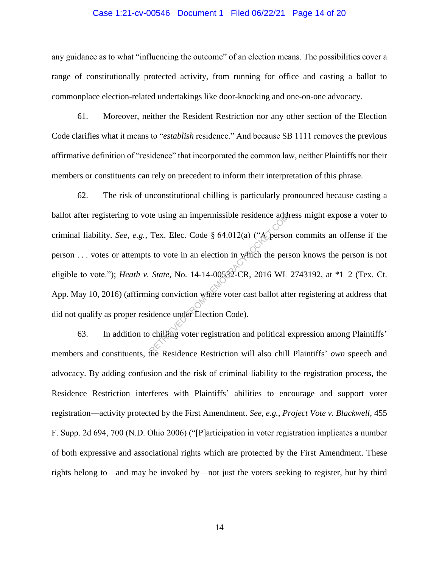## Case 1:21-cv-00546 Document 1 Filed 06/22/21 Page 14 of 20

any guidance as to what "influencing the outcome" of an election means. The possibilities cover a range of constitutionally protected activity, from running for office and casting a ballot to commonplace election-related undertakings like door-knocking and one-on-one advocacy.

61. Moreover, neither the Resident Restriction nor any other section of the Election Code clarifies what it means to "*establish* residence." And because SB 1111 removes the previous affirmative definition of "residence" that incorporated the common law, neither Plaintiffs nor their members or constituents can rely on precedent to inform their interpretation of this phrase.

62. The risk of unconstitutional chilling is particularly pronounced because casting a ballot after registering to vote using an impermissible residence address might expose a voter to criminal liability. *See, e.g.*, Tex. Elec. Code § 64.012(a) ("A person commits an offense if the person . . . votes or attempts to vote in an election in which the person knows the person is not eligible to vote."); *Heath v. State*, No. 14-14-00532-CR, 2016 WL 2743192, at \*1–2 (Tex. Ct. App. May 10, 2016) (affirming conviction where voter cast ballot after registering at address that did not qualify as proper residence under Election Code). te using an impermissible residence adds<br>Tex. Elec. Code § 64.012(a) ("A person<br>s to vote in an election in which the person<br>State, No. 14-14-00532-CR, 2016 WL<br>ing conviction where voter cast ballot aft<br>idence under Electi

63. In addition to chilling voter registration and political expression among Plaintiffs' members and constituents, the Residence Restriction will also chill Plaintiffs' *own* speech and advocacy. By adding confusion and the risk of criminal liability to the registration process, the Residence Restriction interferes with Plaintiffs' abilities to encourage and support voter registration—activity protected by the First Amendment. *See, e.g.*, *Project Vote v. Blackwell*, 455 F. Supp. 2d 694, 700 (N.D. Ohio 2006) ("[P]articipation in voter registration implicates a number of both expressive and associational rights which are protected by the First Amendment. These rights belong to—and may be invoked by—not just the voters seeking to register, but by third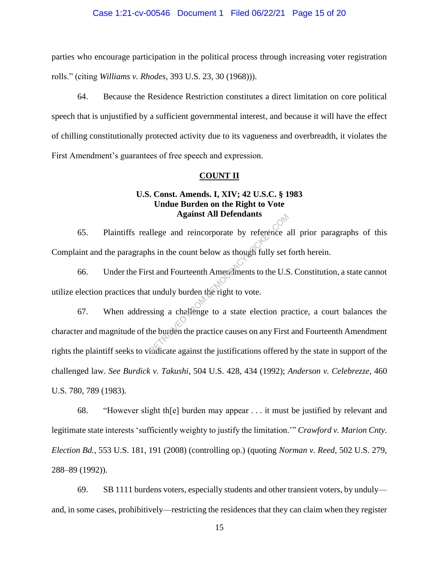#### Case 1:21-cv-00546 Document 1 Filed 06/22/21 Page 15 of 20

parties who encourage participation in the political process through increasing voter registration rolls." (citing *Williams v. Rhodes*, 393 U.S. 23, 30 (1968))).

64. Because the Residence Restriction constitutes a direct limitation on core political speech that is unjustified by a sufficient governmental interest, and because it will have the effect of chilling constitutionally protected activity due to its vagueness and overbreadth, it violates the First Amendment's guarantees of free speech and expression.

## **COUNT II**

# **U.S. Const. Amends. I, XIV; 42 U.S.C. § 1983 Undue Burden on the Right to Vote Against All Defendants**

65. Plaintiffs reallege and reincorporate by reference all prior paragraphs of this Complaint and the paragraphs in the count below as though fully set forth herein.

66. Under the First and Fourteenth Amendments to the U.S. Constitution, a state cannot utilize election practices that unduly burden the right to vote.

67. When addressing a challenge to a state election practice, a court balances the character and magnitude of the burden the practice causes on any First and Fourteenth Amendment rights the plaintiff seeks to vindicate against the justifications offered by the state in support of the challenged law. *See Burdick v. Takushi*, 504 U.S. 428, 434 (1992); *Anderson v. Celebrezze*, 460 U.S. 780, 789 (1983). Against Air Detendants<br>
llege and reincorporate by reference and<br>
and Fourteenth Americannes to the U.S<br>
t unduly burden the right to vote.<br>
sing a challenge to a state election practice<br>
the burden the practice causes on

68. "However slight th[e] burden may appear . . . it must be justified by relevant and legitimate state interests 'sufficiently weighty to justify the limitation.'" *Crawford v. Marion Cnty. Election Bd.*, 553 U.S. 181, 191 (2008) (controlling op.) (quoting *Norman v. Reed*, 502 U.S. 279, 288–89 (1992)).

69. SB 1111 burdens voters, especially students and other transient voters, by unduly and, in some cases, prohibitively—restricting the residences that they can claim when they register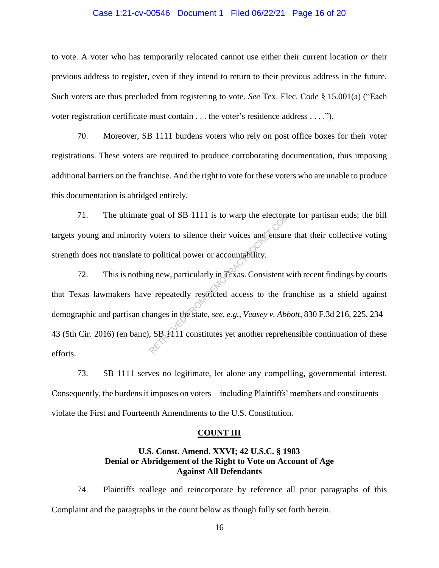## Case 1:21-cv-00546 Document 1 Filed 06/22/21 Page 16 of 20

to vote. A voter who has temporarily relocated cannot use either their current location *or* their previous address to register, even if they intend to return to their previous address in the future. Such voters are thus precluded from registering to vote. *See* Tex. Elec. Code § 15.001(a) ("Each voter registration certificate must contain . . . the voter's residence address . . . .").

70. Moreover, SB 1111 burdens voters who rely on post office boxes for their voter registrations. These voters are required to produce corroborating documentation, thus imposing additional barriers on the franchise. And the right to vote for these voters who are unable to produce this documentation is abridged entirely.

71. The ultimate goal of SB 1111 is to warp the electorate for partisan ends; the bill targets young and minority voters to silence their voices and ensure that their collective voting strength does not translate to political power or accountability.

72. This is nothing new, particularly in Texas. Consistent with recent findings by courts that Texas lawmakers have repeatedly restricted access to the franchise as a shield against demographic and partisan changes in the state, *see, e.g.*, *Veasey v. Abbott*, 830 F.3d 216, 225, 234– 43 (5th Cir. 2016) (en banc),  $SB_1$  11 constitutes yet another reprehensible continuation of these efforts. goal of SB 1111 is to warp the electora<br>voters to silence their voices and ensure<br>populities power or accountability.<br>g new, particularly in Texas. Consistent v<br>e repeatedly restricted access to the framanges in the state,

73. SB 1111 serves no legitimate, let alone any compelling, governmental interest. Consequently, the burdens it imposes on voters—including Plaintiffs' members and constituents violate the First and Fourteenth Amendments to the U.S. Constitution.

#### **COUNT III**

# **U.S. Const. Amend. XXVI; 42 U.S.C. § 1983 Denial or Abridgement of the Right to Vote on Account of Age Against All Defendants**

74. Plaintiffs reallege and reincorporate by reference all prior paragraphs of this Complaint and the paragraphs in the count below as though fully set forth herein.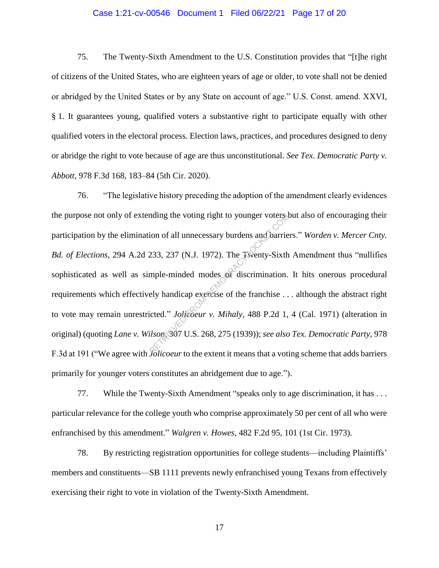## Case 1:21-cv-00546 Document 1 Filed 06/22/21 Page 17 of 20

75. The Twenty-Sixth Amendment to the U.S. Constitution provides that "[t]he right of citizens of the United States, who are eighteen years of age or older, to vote shall not be denied or abridged by the United States or by any State on account of age." U.S. Const. amend. XXVI, § 1. It guarantees young, qualified voters a substantive right to participate equally with other qualified voters in the electoral process. Election laws, practices, and procedures designed to deny or abridge the right to vote because of age are thus unconstitutional. *See Tex. Democratic Party v. Abbott*, 978 F.3d 168, 183–84 (5th Cir. 2020).

76. "The legislative history preceding the adoption of the amendment clearly evidences the purpose not only of extending the voting right to younger voters but also of encouraging their participation by the elimination of all unnecessary burdens and barriers." *Worden v. Mercer Cnty. Bd. of Elections*, 294 A.2d 233, 237 (N.J. 1972). The Twenty-Sixth Amendment thus "nullifies sophisticated as well as simple-minded modes of discrimination. It hits onerous procedural requirements which effectively handicap exercise of the franchise . . . although the abstract right to vote may remain unrestricted." *Jolicoeur v. Mihaly*, 488 P.2d 1, 4 (Cal. 1971) (alteration in original) (quoting *Lane v. Wilson*, 307 U.S. 268, 275 (1939)); *see also Tex. Democratic Party*, 978 F.3d at 191 ("We agree with *Jolicoeur* to the extent it means that a voting scheme that adds barriers primarily for younger voters constitutes an abridgement due to age."). nding the voting right to younger voters.<br>
ion of all unnecessary burdens and barrie<br>
233, 237 (N.J. 1972). The Twenty-Sixth<br>
mple-minded modes of discrimination.<br>
ely handicap exercise of the franchise...<br>
icted." Jolicoe

77. While the Twenty-Sixth Amendment "speaks only to age discrimination, it has . . . particular relevance for the college youth who comprise approximately 50 per cent of all who were enfranchised by this amendment." *Walgren v. Howes*, 482 F.2d 95, 101 (1st Cir. 1973).

78. By restricting registration opportunities for college students—including Plaintiffs' members and constituents—SB 1111 prevents newly enfranchised young Texans from effectively exercising their right to vote in violation of the Twenty-Sixth Amendment.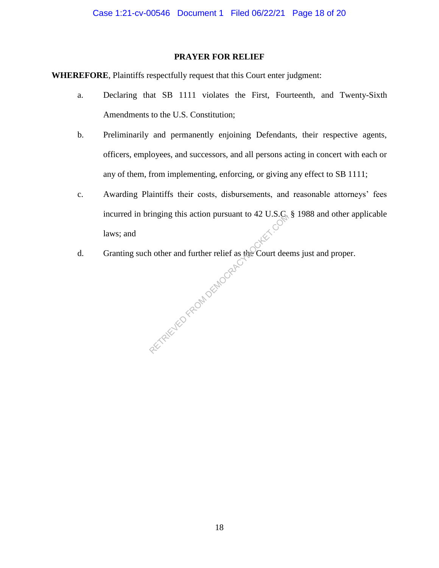# **PRAYER FOR RELIEF**

**WHEREFORE**, Plaintiffs respectfully request that this Court enter judgment:

- a. Declaring that SB 1111 violates the First, Fourteenth, and Twenty-Sixth Amendments to the U.S. Constitution;
- b. Preliminarily and permanently enjoining Defendants, their respective agents, officers, employees, and successors, and all persons acting in concert with each or any of them, from implementing, enforcing, or giving any effect to SB 1111;
- c. Awarding Plaintiffs their costs, disbursements, and reasonable attorneys' fees incurred in bringing this action pursuant to 42 U.S.C. § 1988 and other applicable laws; and laws; and
- d. Granting such other and further relief as the Court deems just and proper. AETRICUS FROM DEMOCRACY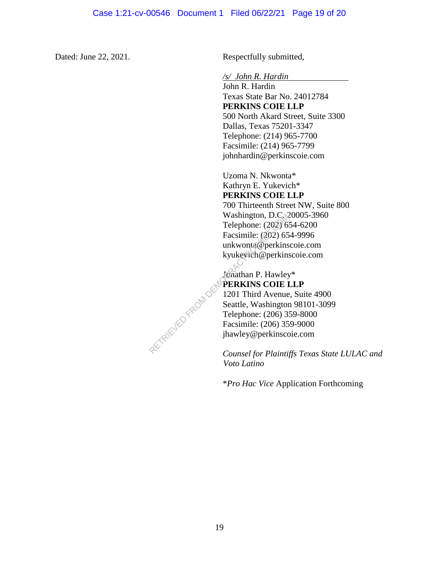Dated: June 22, 2021. Respectfully submitted,

*/s/ John R. Hardin* 

John R. Hardin Texas State Bar No. 24012784 **PERKINS COIE LLP** 500 North Akard Street, Suite 3300 Dallas, Texas 75201-3347 Telephone: (214) 965-7700 Facsimile: (214) 965-7799 johnhardin@perkinscoie.com

Uzoma N. Nkwonta\* Kathryn E. Yukevich\* **PERKINS COIE LLP** 700 Thirteenth Street NW, Suite 800 Washington, D.C. 20005-3960 Telephone: (202) 654-6200 Facsimile: (202) 654-9996 unkwonta@perkinscoie.com kyukevich@perkinscoie.com

Jonathan P. Hawley\* **PERKINS COIE LLP** 1201 Third Avenue, Suite 4900 Seattle, Washington 98101-3099 Telephone: (206) 359-8000 Facsimile: (206) 359-9000 jhawley@perkinscoie.com RETRIEVED FROM DEM

*Counsel for Plaintiffs Texas State LULAC and Voto Latino*

\**Pro Hac Vice* Application Forthcoming